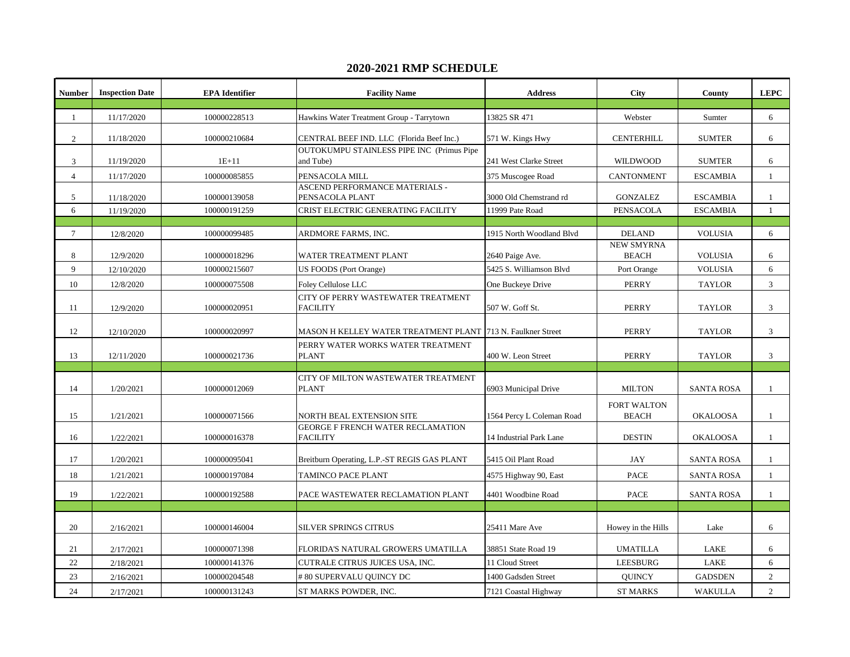## **2020-2021 RMP SCHEDULE**

| <b>Number</b>  | <b>Inspection Date</b> | <b>EPA</b> Identifier | <b>Facility Name</b>                                          | <b>Address</b>            | <b>City</b>                        | County            | <b>LEPC</b>    |
|----------------|------------------------|-----------------------|---------------------------------------------------------------|---------------------------|------------------------------------|-------------------|----------------|
|                |                        |                       |                                                               |                           |                                    |                   |                |
| $\mathbf{1}$   | 11/17/2020             | 100000228513          | Hawkins Water Treatment Group - Tarrytown                     | 13825 SR 471              | Webster                            | Sumter            | 6              |
| $\overline{2}$ | 11/18/2020             | 100000210684          | CENTRAL BEEF IND. LLC (Florida Beef Inc.)                     | 571 W. Kings Hwy          | <b>CENTERHILL</b>                  | <b>SUMTER</b>     | 6              |
| 3              | 11/19/2020             | $1E + 11$             | <b>OUTOKUMPU STAINLESS PIPE INC (Primus Pipe</b><br>and Tube) | 241 West Clarke Street    | <b>WILDWOOD</b>                    | <b>SUMTER</b>     | 6              |
| $\overline{4}$ | 11/17/2020             | 100000085855          | PENSACOLA MILL                                                | 375 Muscogee Road         | <b>CANTONMENT</b>                  | <b>ESCAMBIA</b>   | $\mathbf{1}$   |
| 5              | 11/18/2020             | 100000139058          | ASCEND PERFORMANCE MATERIALS -<br>PENSACOLA PLANT             | 3000 Old Chemstrand rd    | <b>GONZALEZ</b>                    | <b>ESCAMBIA</b>   | -1             |
| 6              | 11/19/2020             | 100000191259          | CRIST ELECTRIC GENERATING FACILITY                            | 11999 Pate Road           | <b>PENSACOLA</b>                   | <b>ESCAMBIA</b>   | $\mathbf{1}$   |
|                |                        |                       |                                                               |                           |                                    |                   |                |
| $\tau$         | 12/8/2020              | 100000099485          | ARDMORE FARMS, INC.                                           | 1915 North Woodland Blvd  | <b>DELAND</b>                      | <b>VOLUSIA</b>    | 6              |
| 8              | 12/9/2020              | 100000018296          | WATER TREATMENT PLANT                                         | 2640 Paige Ave.           | <b>NEW SMYRNA</b><br><b>BEACH</b>  | <b>VOLUSIA</b>    | 6              |
| 9              | 12/10/2020             | 100000215607          | US FOODS (Port Orange)                                        | 5425 S. Williamson Blvd   | Port Orange                        | <b>VOLUSIA</b>    | 6              |
| 10             | 12/8/2020              | 100000075508          | <b>Foley Cellulose LLC</b>                                    | One Buckeye Drive         | <b>PERRY</b>                       | <b>TAYLOR</b>     | 3              |
| 11             | 12/9/2020              | 100000020951          | CITY OF PERRY WASTEWATER TREATMENT<br><b>FACILITY</b>         | 507 W. Goff St.           | <b>PERRY</b>                       | <b>TAYLOR</b>     | 3              |
| 12             | 12/10/2020             | 100000020997          | MASON H KELLEY WATER TREATMENT PLANT [713 N. Faulkner Street  |                           | <b>PERRY</b>                       | <b>TAYLOR</b>     | 3              |
| 13             | 12/11/2020             | 100000021736          | PERRY WATER WORKS WATER TREATMENT<br><b>PLANT</b>             | 400 W. Leon Street        | <b>PERRY</b>                       | <b>TAYLOR</b>     | 3              |
|                |                        |                       |                                                               |                           |                                    |                   |                |
| 14             | 1/20/2021              | 100000012069          | CITY OF MILTON WASTEWATER TREATMENT<br><b>PLANT</b>           | 6903 Municipal Drive      | <b>MILTON</b>                      | <b>SANTA ROSA</b> | $\mathbf{1}$   |
| 15             | 1/21/2021              | 100000071566          | NORTH BEAL EXTENSION SITE                                     | 1564 Percy L Coleman Road | <b>FORT WALTON</b><br><b>BEACH</b> | <b>OKALOOSA</b>   | 1              |
| 16             | 1/22/2021              | 100000016378          | <b>GEORGE F FRENCH WATER RECLAMATION</b><br><b>FACILITY</b>   | 14 Industrial Park Lane   | <b>DESTIN</b>                      | <b>OKALOOSA</b>   | 1              |
| 17             | 1/20/2021              | 100000095041          | Breitburn Operating, L.P.-ST REGIS GAS PLANT                  | 5415 Oil Plant Road       | JAY                                | <b>SANTA ROSA</b> | 1              |
| 18             | 1/21/2021              | 100000197084          | TAMINCO PACE PLANT                                            | 4575 Highway 90, East     | <b>PACE</b>                        | <b>SANTA ROSA</b> | 1              |
| 19             | 1/22/2021              | 100000192588          | PACE WASTEWATER RECLAMATION PLANT                             | 4401 Woodbine Road        | <b>PACE</b>                        | <b>SANTA ROSA</b> | $\mathbf{1}$   |
|                |                        |                       |                                                               |                           |                                    |                   |                |
| 20             | 2/16/2021              | 100000146004          | <b>SILVER SPRINGS CITRUS</b>                                  | 25411 Mare Ave            | Howey in the Hills                 | Lake              | 6              |
| 21             | 2/17/2021              | 100000071398          | FLORIDA'S NATURAL GROWERS UMATILLA                            | 38851 State Road 19       | <b>UMATILLA</b>                    | LAKE              | 6              |
| 22             | 2/18/2021              | 100000141376          | CUTRALE CITRUS JUICES USA, INC.                               | 11 Cloud Street           | <b>LEESBURG</b>                    | LAKE              | 6              |
| 23             | 2/16/2021              | 100000204548          | # 80 SUPERVALU QUINCY DC                                      | 1400 Gadsden Street       | <b>QUINCY</b>                      | <b>GADSDEN</b>    | $\overline{2}$ |
| 24             | 2/17/2021              | 100000131243          | ST MARKS POWDER, INC.                                         | 7121 Coastal Highway      | <b>ST MARKS</b>                    | <b>WAKULLA</b>    | $\overline{2}$ |